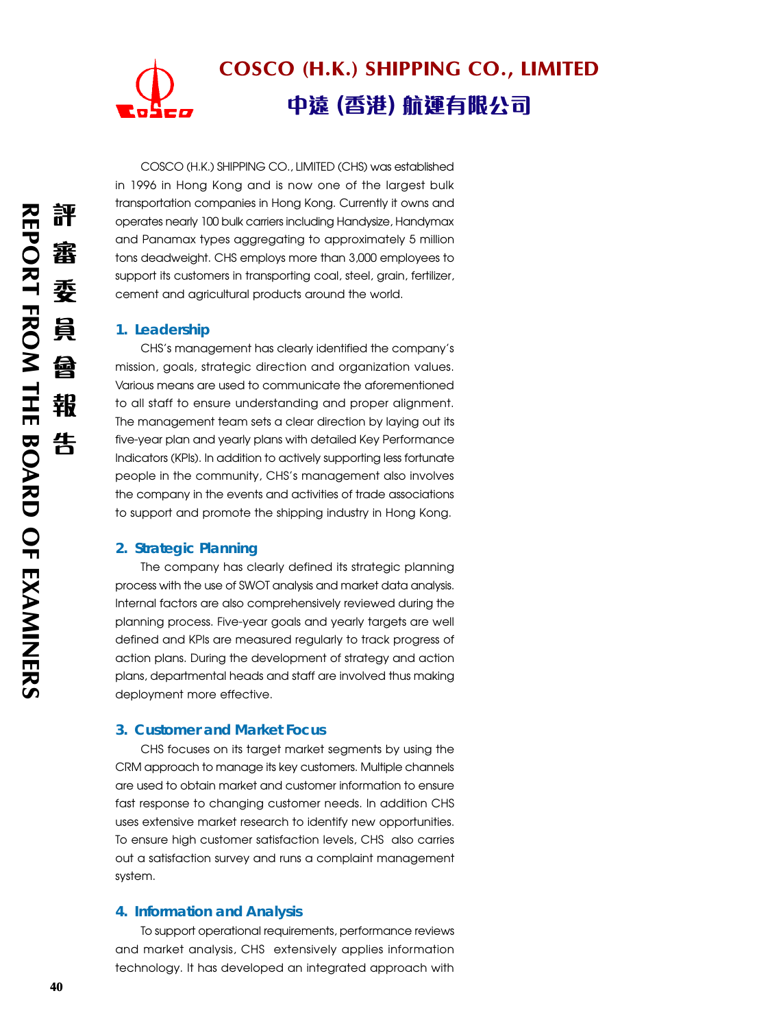

COSCO (H.K.) SHIPPING CO., LIMITED (CHS) was established in 1996 in Hong Kong and is now one of the largest bulk transportation companies in Hong Kong. Currently it owns and operates nearly 100 bulk carriers including Handysize, Handymax and Panamax types aggregating to approximately 5 million tons deadweight. CHS employs more than 3,000 employees to support its customers in transporting coal, steel, grain, fertilizer, cement and agricultural products around the world.

## **1. Leadership**

CHS's management has clearly identified the company's mission, goals, strategic direction and organization values. Various means are used to communicate the aforementioned to all staff to ensure understanding and proper alignment. The management team sets a clear direction by laying out its five-year plan and yearly plans with detailed Key Performance Indicators (KPIs). In addition to actively supporting less fortunate people in the community, CHS's management also involves the company in the events and activities of trade associations to support and promote the shipping industry in Hong Kong.

## **2. Strategic Planning**

The company has clearly defined its strategic planning process with the use of SWOT analysis and market data analysis. Internal factors are also comprehensively reviewed during the planning process. Five-year goals and yearly targets are well defined and KPIs are measured regularly to track progress of action plans. During the development of strategy and action plans, departmental heads and staff are involved thus making deployment more effective.

# **3. Customer and Market Focus**

CHS focuses on its target market segments by using the CRM approach to manage its key customers. Multiple channels are used to obtain market and customer information to ensure fast response to changing customer needs. In addition CHS uses extensive market research to identify new opportunities. To ensure high customer satisfaction levels, CHS also carries out a satisfaction survey and runs a complaint management system.

#### **4. Information and Analysis**

To support operational requirements, performance reviews and market analysis, CHS extensively applies information technology. It has developed an integrated approach with

員

酋